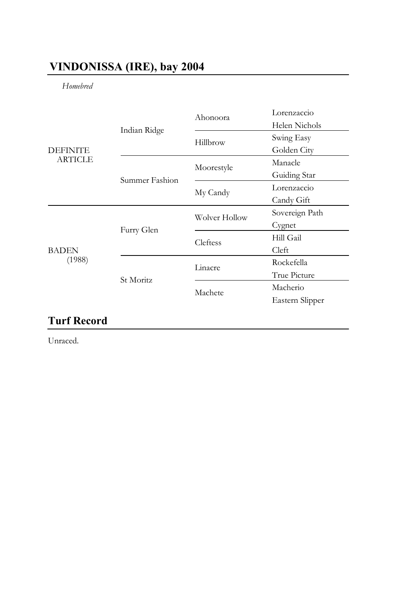## **VINDONISSA (IRE), bay 2004**

*Homebred* 

| <b>DEFINITE</b><br><b>ARTICLE</b> | Indian Ridge   | Ahonoora      | Lorenzaccio<br>Helen Nichols |
|-----------------------------------|----------------|---------------|------------------------------|
|                                   |                | Hillbrow      | Swing Easy                   |
|                                   |                |               | Golden City                  |
|                                   | Summer Fashion | Moorestyle    | Manacle                      |
|                                   |                |               | Guiding Star                 |
|                                   |                | My Candy      | Lorenzaccio                  |
|                                   |                |               | Candy Gift                   |
| <b>BADEN</b><br>(1988)            | Furry Glen     | Wolver Hollow | Sovereign Path               |
|                                   |                |               | Cygnet                       |
|                                   |                | Cleftess      | Hill Gail                    |
|                                   |                |               | Cleft                        |
|                                   | St Moritz      | Linacre       | Rockefella                   |
|                                   |                |               | True Picture                 |
|                                   |                | Machete       | Macherio                     |
|                                   |                |               | Eastern Slipper              |
|                                   |                |               |                              |

## **Turf Record**

Unraced.